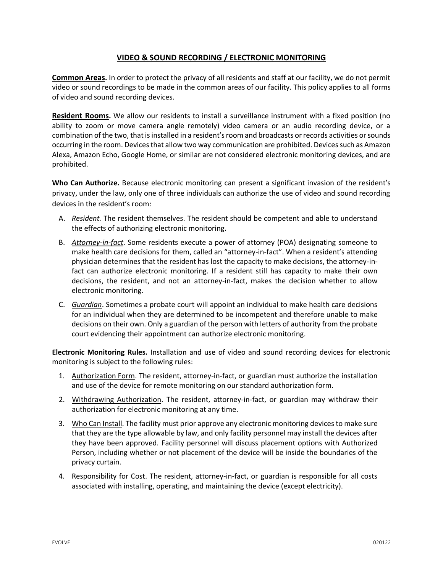## **VIDEO & SOUND RECORDING / ELECTRONIC MONITORING**

**Common Areas.** In order to protect the privacy of all residents and staff at our facility, we do not permit video or sound recordings to be made in the common areas of our facility. This policy applies to all forms of video and sound recording devices.

**Resident Rooms.** We allow our residents to install a surveillance instrument with a fixed position (no ability to zoom or move camera angle remotely) video camera or an audio recording device, or a combination of the two, that is installed in a resident's room and broadcasts or records activities or sounds occurring in the room. Devices that allow two way communication are prohibited. Devices such as Amazon Alexa, Amazon Echo, Google Home, or similar are not considered electronic monitoring devices, and are prohibited.

**Who Can Authorize.** Because electronic monitoring can present a significant invasion of the resident's privacy, under the law, only one of three individuals can authorize the use of video and sound recording devices in the resident's room:

- A. *Resident.* The resident themselves. The resident should be competent and able to understand the effects of authorizing electronic monitoring.
- B. *Attorney-in-fact*. Some residents execute a power of attorney (POA) designating someone to make health care decisions for them, called an "attorney-in-fact". When a resident's attending physician determines that the resident has lost the capacity to make decisions, the attorney-infact can authorize electronic monitoring. If a resident still has capacity to make their own decisions, the resident, and not an attorney-in-fact, makes the decision whether to allow electronic monitoring.
- C. *Guardian*. Sometimes a probate court will appoint an individual to make health care decisions for an individual when they are determined to be incompetent and therefore unable to make decisions on their own. Only a guardian of the person with letters of authority from the probate court evidencing their appointment can authorize electronic monitoring.

**Electronic Monitoring Rules.** Installation and use of video and sound recording devices for electronic monitoring is subject to the following rules:

- 1. Authorization Form. The resident, attorney-in-fact, or guardian must authorize the installation and use of the device for remote monitoring on our standard authorization form.
- 2. Withdrawing Authorization. The resident, attorney-in-fact, or guardian may withdraw their authorization for electronic monitoring at any time.
- 3. Who Can Install. The facility must prior approve any electronic monitoring devices to make sure that they are the type allowable by law, and only facility personnel may install the devices after they have been approved. Facility personnel will discuss placement options with Authorized Person, including whether or not placement of the device will be inside the boundaries of the privacy curtain.
- 4. Responsibility for Cost. The resident, attorney-in-fact, or guardian is responsible for all costs associated with installing, operating, and maintaining the device (except electricity).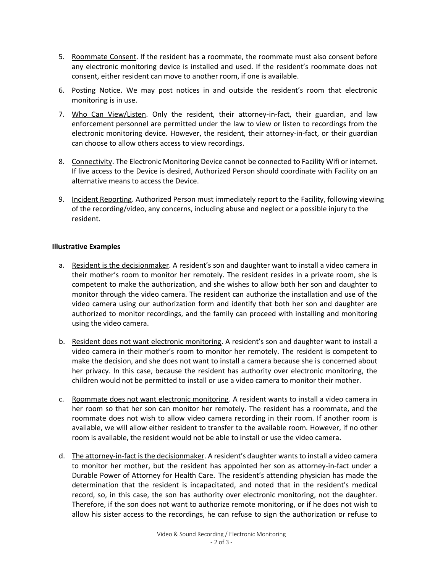- 5. Roommate Consent. If the resident has a roommate, the roommate must also consent before any electronic monitoring device is installed and used. If the resident's roommate does not consent, either resident can move to another room, if one is available.
- 6. Posting Notice. We may post notices in and outside the resident's room that electronic monitoring is in use.
- 7. Who Can View/Listen. Only the resident, their attorney-in-fact, their guardian, and law enforcement personnel are permitted under the law to view or listen to recordings from the electronic monitoring device. However, the resident, their attorney-in-fact, or their guardian can choose to allow others access to view recordings.
- 8. Connectivity. The Electronic Monitoring Device cannot be connected to Facility Wifi or internet. If live access to the Device is desired, Authorized Person should coordinate with Facility on an alternative means to access the Device.
- 9. Incident Reporting. Authorized Person must immediately report to the Facility, following viewing of the recording/video, any concerns, including abuse and neglect or a possible injury to the resident.

## **Illustrative Examples**

- a. Resident is the decisionmaker. A resident's son and daughter want to install a video camera in their mother's room to monitor her remotely. The resident resides in a private room, she is competent to make the authorization, and she wishes to allow both her son and daughter to monitor through the video camera. The resident can authorize the installation and use of the video camera using our authorization form and identify that both her son and daughter are authorized to monitor recordings, and the family can proceed with installing and monitoring using the video camera.
- b. Resident does not want electronic monitoring. A resident's son and daughter want to install a video camera in their mother's room to monitor her remotely. The resident is competent to make the decision, and she does not want to install a camera because she is concerned about her privacy. In this case, because the resident has authority over electronic monitoring, the children would not be permitted to install or use a video camera to monitor their mother.
- c. Roommate does not want electronic monitoring. A resident wants to install a video camera in her room so that her son can monitor her remotely. The resident has a roommate, and the roommate does not wish to allow video camera recording in their room. If another room is available, we will allow either resident to transfer to the available room. However, if no other room is available, the resident would not be able to install or use the video camera.
- d. The attorney-in-fact is the decisionmaker. A resident's daughter wants to install a video camera to monitor her mother, but the resident has appointed her son as attorney-in-fact under a Durable Power of Attorney for Health Care. The resident's attending physician has made the determination that the resident is incapacitated, and noted that in the resident's medical record, so, in this case, the son has authority over electronic monitoring, not the daughter. Therefore, if the son does not want to authorize remote monitoring, or if he does not wish to allow his sister access to the recordings, he can refuse to sign the authorization or refuse to